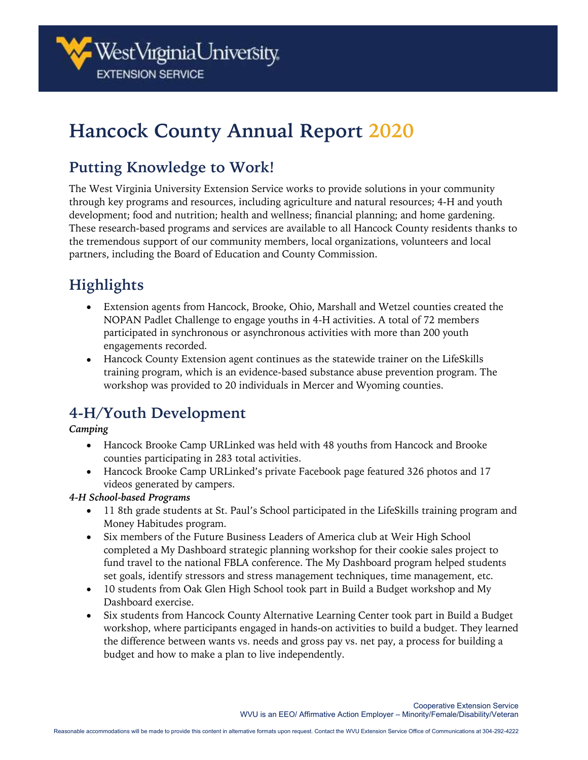

# **Hancock County Annual Report 2020**

### **Putting Knowledge to Work!**

The West Virginia University Extension Service works to provide solutions in your community through key programs and resources, including agriculture and natural resources; 4-H and youth development; food and nutrition; health and wellness; financial planning; and home gardening. These research-based programs and services are available to all Hancock County residents thanks to the tremendous support of our community members, local organizations, volunteers and local partners, including the Board of Education and County Commission.

## **Highlights**

- Extension agents from Hancock, Brooke, Ohio, Marshall and Wetzel counties created the NOPAN Padlet Challenge to engage youths in 4-H activities. A total of 72 members participated in synchronous or asynchronous activities with more than 200 youth engagements recorded.
- Hancock County Extension agent continues as the statewide trainer on the LifeSkills training program, which is an evidence-based substance abuse prevention program. The workshop was provided to 20 individuals in Mercer and Wyoming counties.

### **4-H/Youth Development**

#### *Camping*

- Hancock Brooke Camp URLinked was held with 48 youths from Hancock and Brooke counties participating in 283 total activities.
- Hancock Brooke Camp URLinked's private Facebook page featured 326 photos and 17 videos generated by campers.

#### *4-H School-based Programs*

- 11 8th grade students at St. Paul's School participated in the LifeSkills training program and Money Habitudes program.
- Six members of the Future Business Leaders of America club at Weir High School completed a My Dashboard strategic planning workshop for their cookie sales project to fund travel to the national FBLA conference. The My Dashboard program helped students set goals, identify stressors and stress management techniques, time management, etc.
- 10 students from Oak Glen High School took part in Build a Budget workshop and My Dashboard exercise.
- Six students from Hancock County Alternative Learning Center took part in Build a Budget workshop, where participants engaged in hands-on activities to build a budget. They learned the difference between wants vs. needs and gross pay vs. net pay, a process for building a budget and how to make a plan to live independently.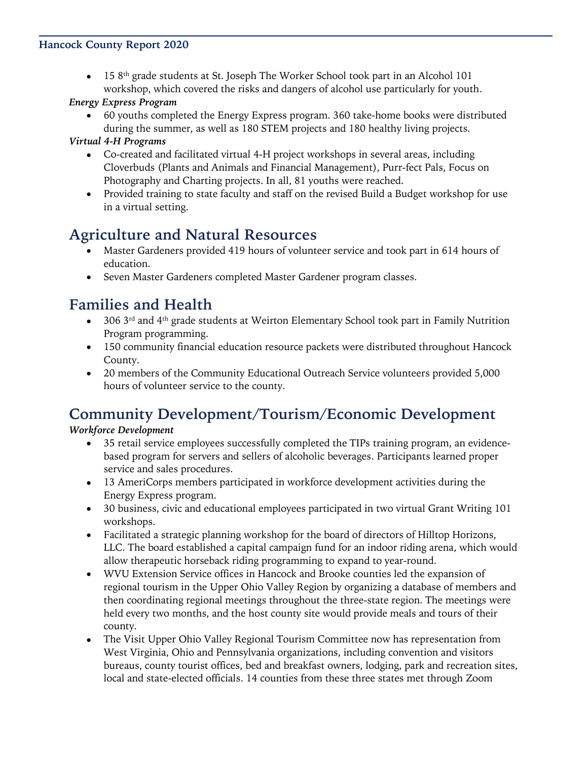#### **Hancock County Report 2020**

 $\bullet$  15 8<sup>th</sup> grade students at St. Joseph The Worker School took part in an Alcohol 101 workshop, which covered the risks and dangers of alcohol use particularly for youth.

#### *Energy Express Program*

• 60 youths completed the Energy Express program. 360 take-home books were distributed during the summer, as well as 180 STEM projects and 180 healthy living projects.

#### *Virtual 4-H Programs*

- Co-created and facilitated virtual 4-H project workshops in several areas, including Cloverbuds (Plants and Animals and Financial Management), Purr-fect Pals, Focus on Photography and Charting projects. In all, 81 youths were reached.
- Provided training to state faculty and staff on the revised Build a Budget workshop for use in a virtual setting.

### **Agriculture and Natural Resources**

- Master Gardeners provided 419 hours of volunteer service and took part in 614 hours of education.
- Seven Master Gardeners completed Master Gardener program classes.

### **Families and Health**

- 306 3<sup>rd</sup> and 4<sup>th</sup> grade students at Weirton Elementary School took part in Family Nutrition Program programming.
- 150 community financial education resource packets were distributed throughout Hancock County.
- 20 members of the Community Educational Outreach Service volunteers provided 5,000 hours of volunteer service to the county.

### **Community Development/Tourism/Economic Development**

#### *Workforce Development*

- 35 retail service employees successfully completed the TIPs training program, an evidencebased program for servers and sellers of alcoholic beverages. Participants learned proper service and sales procedures.
- 13 AmeriCorps members participated in workforce development activities during the Energy Express program.
- 30 business, civic and educational employees participated in two virtual Grant Writing 101 workshops.
- Facilitated a strategic planning workshop for the board of directors of Hilltop Horizons, LLC. The board established a capital campaign fund for an indoor riding arena, which would allow therapeutic horseback riding programming to expand to year-round.
- WVU Extension Service offices in Hancock and Brooke counties led the expansion of regional tourism in the Upper Ohio Valley Region by organizing a database of members and then coordinating regional meetings throughout the three-state region. The meetings were held every two months, and the host county site would provide meals and tours of their county.
- The Visit Upper Ohio Valley Regional Tourism Committee now has representation from West Virginia, Ohio and Pennsylvania organizations, including convention and visitors bureaus, county tourist offices, bed and breakfast owners, lodging, park and recreation sites, local and state-elected officials. 14 counties from these three states met through Zoom